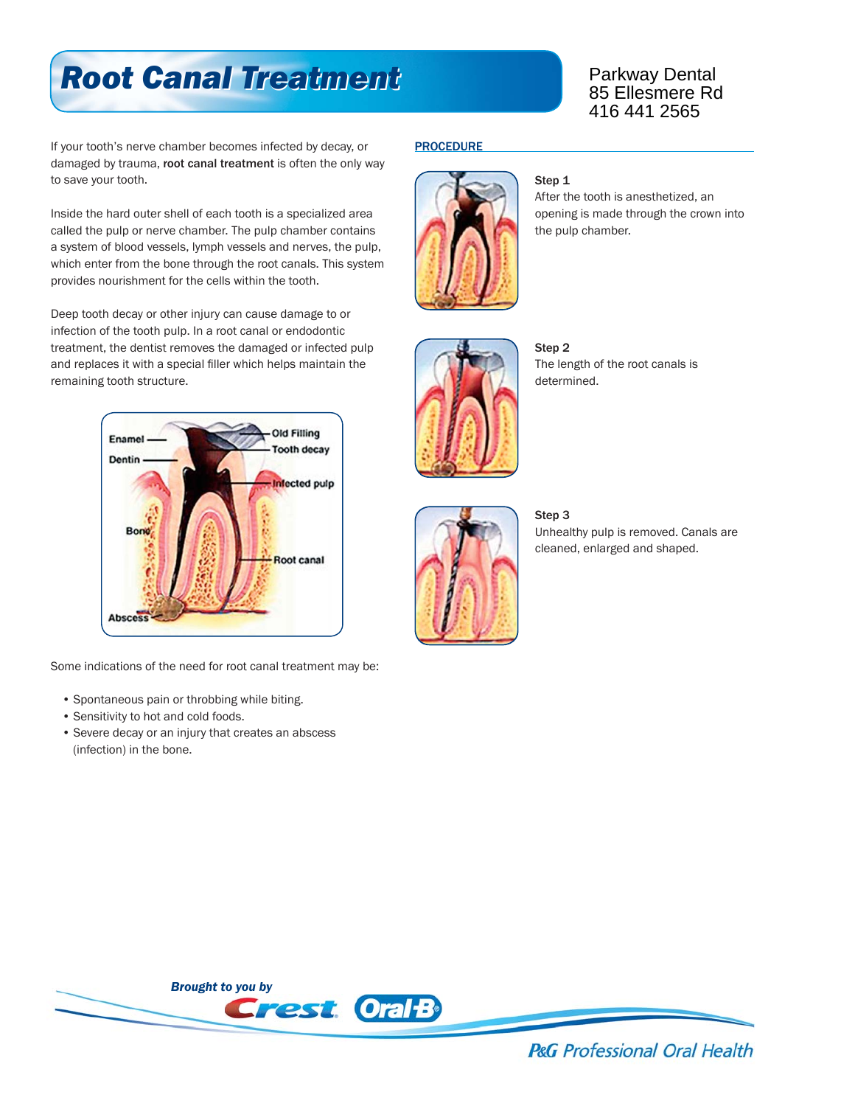# *Root Canal Treatment Root Canal Treatment*

Parkway Dental 85 Ellesmere Rd 416 441 2565

If your tooth's nerve chamber becomes infected by decay, or damaged by trauma, root canal treatment is often the only way to save your tooth.

Inside the hard outer shell of each tooth is a specialized area called the pulp or nerve chamber. The pulp chamber contains a system of blood vessels, lymph vessels and nerves, the pulp, which enter from the bone through the root canals. This system provides nourishment for the cells within the tooth.

Deep tooth decay or other injury can cause damage to or infection of the tooth pulp. In a root canal or endodontic treatment, the dentist removes the damaged or infected pulp and replaces it with a special filler which helps maintain the remaining tooth structure.



Some indications of the need for root canal treatment may be:

- Spontaneous pain or throbbing while biting.
- Sensitivity to hot and cold foods.
- Severe decay or an injury that creates an abscess (infection) in the bone.

### **PROCEDURE**



#### Step<sub>1</sub>

After the tooth is anesthetized, an opening is made through the crown into the pulp chamber.



Step 2 The length of the root canals is determined.



#### Step 3

Unhealthy pulp is removed. Canals are cleaned, enlarged and shaped.



**P&G** Professional Oral Health